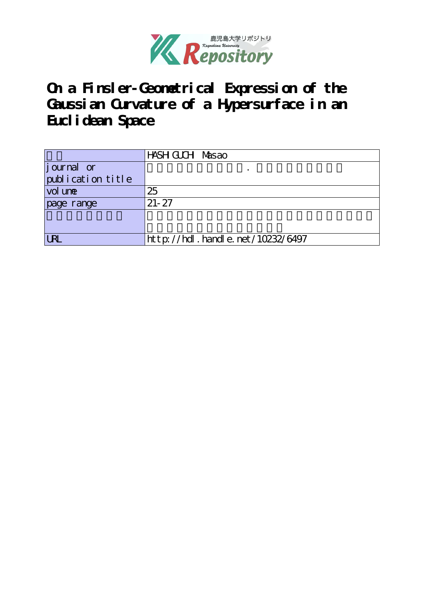

**On a Finsler-Geometrical Expression of the Gaussian Curvature of a Hypersurface in an Euclidean Space**

|                   | HASH GUCH Masao                  |
|-------------------|----------------------------------|
| journal or        |                                  |
| publication title |                                  |
| vol une           | 25                               |
| page range        | $21 - 27$                        |
|                   |                                  |
|                   |                                  |
| <b>LRL</b>        | http://hdl.handle.net/10232/6497 |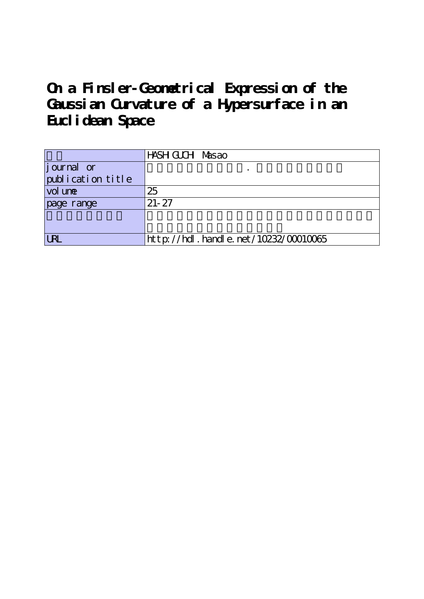**On a Finsler-Geometrical Expression of the Gaussian Curvature of a Hypersurface in an Euclidean Space**

|                   | HASH GUCH Masao                             |
|-------------------|---------------------------------------------|
| journal or        |                                             |
| publication title |                                             |
| vol une           | 25                                          |
| page range        | $21 - 27$                                   |
|                   |                                             |
|                   |                                             |
| <b>LRL</b>        | $http$ : //hdl. handle. net /10232/00010065 |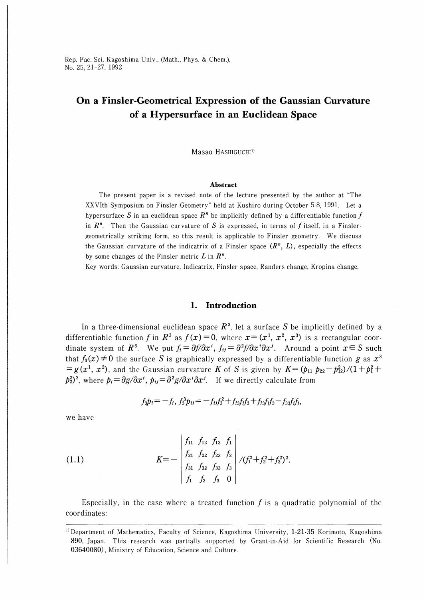# On a Finsler-Geometrical Expression of the Gaussian Curvature of a Hypersurface in an Euclidean Space

Masao HASHIGUCHI<sup>1)</sup>

#### Abstract

The present paper is a revised note of the lecture presented by the author at "The XXVIth Symposium on Finsler Geometry" held at Kushiro during October 5-8, 1991. Let a hypersurface S in an euclidean space  $R^n$  be implicitly defined by a differentiable function f in  $\mathbb{R}^n$ . Then the Gaussian curvature of S is expressed, in terms of f itself, in a Finslergeometrically striking form, so this result is applicable to Finsler geometry. We discuss the Gaussian curvature of the indicatrix of a Finsler space  $(R^n, L)$ , especially the effects by some changes of the Finsler metric  $L$  in  $\mathbb{R}^n$ .

Key words: Gaussian curvature, Indicatrix, Finsler space, Randers change, Kropina change.

#### 1. Introduction

In a three-dimensional euclidean space  $R<sup>3</sup>$ , let a surface S be implicitly defined by a differentiable function f in  $R^3$  as  $f(x)=0$ , where  $x=(x^1, x^2, x^3)$  is a rectangular coordinate system of R<sup>3</sup>. We put  $f_i = \frac{\partial f}{\partial x^i}$ ,  $f_{ij} = \frac{\partial^2 f}{\partial x^i}$ . Around a point  $x \in S$  such that  $f_3(x) \neq 0$  the surface S is graphically expressed by a differentiable function g as  $x^3$  $=g(x^1, x^2)$ , and the Gaussian curvature K of S is given by  $K=(p_{11} p_{22}-p_{12}^2)/(1+p_1^2+p_2^2)$  $p_2^2$ <sup>2</sup>, where  $p_i = \frac{\partial g}{\partial x^i}$ ,  $p_{ij} = \frac{\partial^2 g}{\partial x^i}$  *i*. If we directly calculate from

$$
f_3p_i = -f_i, f_3^3p_{ij} = -f_{ij}f_3^2 + f_{i3}f_jf_3 + f_{j3}f_if_3 - f_{33}f_if_j,
$$

we have

(1.1) 
$$
K = - \begin{vmatrix} f_{11} & f_{12} & f_{13} & f_1 \\ f_{21} & f_{22} & f_{23} & f_2 \\ f_{31} & f_{32} & f_{33} & f_3 \\ f_1 & f_2 & f_3 & 0 \end{vmatrix} / (f_1^2 + f_2^2 + f_3^2)^2.
$$

Especially, in the case where a treated function  $f$  is a quadratic polynomial of the coordinates:

<sup>&</sup>lt;sup>1)</sup> Department of Mathematics, Faculty of Science, Kagoshima University, 1-21-35 Korimoto, Kagoshima 890, Japan. This research was partially supported by Grant-in-Aid for Scientific Research (No. 03640080) , Ministry of Education, Science and Culture.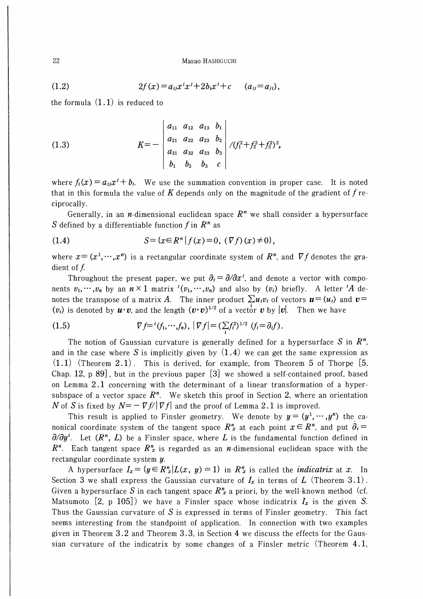(1.2) 
$$
2f(x) = a_{ij}x^{i}x^{j} + 2b_{i}x^{i} + c \qquad (a_{ij} = a_{ji}),
$$

the formula  $(1.1)$  is reduced to

(1.3) 
$$
K=-\begin{vmatrix} a_{11} & a_{12} & a_{13} & b_1 \ a_{21} & a_{22} & a_{23} & b_2 \ a_{31} & a_{32} & a_{33} & b_3 \ b_1 & b_2 & b_3 & c \end{vmatrix} / (f_1^2+f_2^2+f_3^2)^2,
$$

where  $f_i(x) = a_{ij}x^j + b_i$ . We use the summation convention in proper case. It is noted that in this formula the value of K depends only on the magnitude of the gradient of  $f$  reciprocally.

Generally, in an *n*-dimensional euclidean space  $R<sup>n</sup>$  we shall consider a hypersurface S defined by a differentiable function f in  $R^n$  as

(1.4) 
$$
S = \{x \in R^n | f(x) = 0, (\nabla f)(x) \neq 0\},\
$$

where  $x = (x^1, \dots, x^n)$  is a rectangular coordinate system of  $\mathbb{R}^n$ , and  $\nabla f$  denotes the gradient of  $f$ .

Throughout the present paper, we put  $\partial_i = \partial/\partial x^i$ , and denote a vector with components  $v_1, \dots, v_n$  by an  $n \times 1$  matrix  $^t(v_1, \dots, v_n)$  and also by  $(v_i)$  briefly. A letter  $^tA$  denotes the transpose of a matrix A. The inner product  $\sum u_i v_i$  of vectors  $\mathbf{u}=(u_i)$  and  $\mathbf{v}$  $(v_i)$  is denoted by  $\mathbf{u} \cdot \mathbf{v}$ , and the length  $(\mathbf{v} \cdot \mathbf{v})^{1/2}$  of a vector  $\mathbf{v}$  by  $|\mathbf{v}|$ . Then we have

(1.5) 
$$
\nabla f = {}^{t}(f_{1}, \cdots, f_{n}), \ |\nabla f| = (\sum_{i} f_{i}^{2})^{1/2} \ (f_{i} = \partial_{i} f).
$$

The notion of Gaussian curvature is generally defined for a hypersurface S in  $\mathbb{R}^n$ , and in the case where S is implicitly given by  $(1.4)$  we can get the same expression as  $(1.1)$  (Theorem 2.1). This is derived, for example, from Theorem 5 of Thorpe [5, Chap. 12, p 89] , but in the previous paper [3] we showed a self-contained proof, based on Lemma 2.1 concerning with the determinant of a linear transformation of a hypersubspace of a vector space  $R<sup>n</sup>$ . We sketch this proof in Section 2, where an orientation N of S is fixed by  $N=-\nabla f/|\nabla f|$  and the proof of Lemma 2.1 is improved.

This result is applied to Finsler geometry. We denote by  $y=(y^1, \dots, y^n)$  the canonical coordinate system of the tangent space  $R_x^n$  at each point  $x \in R^n$ , and put  $\partial_i =$  $\partial/\partial y^i$ . Let  $(R^n, L)$  be a Finsler space, where L is the fundamental function defined in  $R<sup>n</sup>$ . Each tangent space  $R<sup>n</sup>$  is regarded as an *n*-dimensional euclidean space with the rectangular coordinate system y.

A hypersurface  $I_x = \{y \in R_x^n | L(x, y) = 1\}$  in  $R_x^n$  is called the *indicatrix* at x. In Section 3 we shall express the Gaussian curvature of  $I_x$  in terms of  $L$  (Theorem 3.1). Given a hypersurface S in each tangent space  $R_x^n$  a priori, by the well-known method (cf. Matsumoto [2, p 105]) we have a Finsler space whose indicatrix  $I_x$  is the given S. Thus the Gaussian curvature of S is expressed in terms of Finsler geometry. This fact seems interesting from the standpoint of application. In connection with two examples given in Theorem 3.2 and Theorem 3.3, in Section 4 we discuss the effects for the Gaussian curvature of the indicatrix by some changes of a Finsler metric (Theorem 4.1,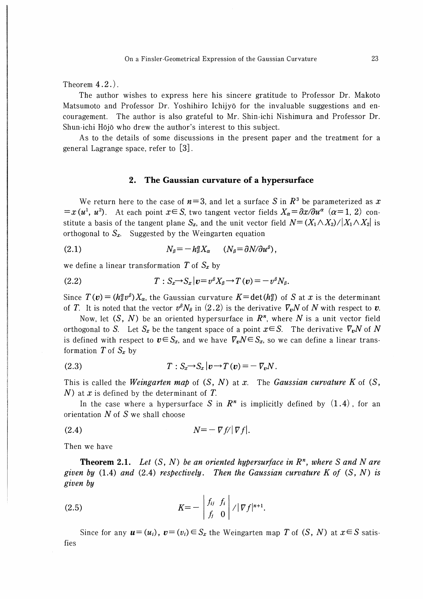Theorem 4.2.).

The author wishes to express here his sincere gratitude to Professor Dr. Makoto Matsumoto and Professor Dr. Yoshihiro Ichijyo for the invaluable suggestions and encouragement. The author is also grateful to Mr. Shin-ichi Nishimura and Professor Dr. Shun-ichi Hojo who drew the author's interest to this subject.

As to the details of some discussions in the present paper and the treatment for a general Lagrange space, refer to [3].

#### 2. The Gaussian curvature of a hypersurface

We return here to the case of  $n=3$ , and let a surface S in  $R<sup>3</sup>$  be parameterized as x  $=x(u^1, u^2)$ . At each point  $x \in S$ , two tangent vector fields  $X_\alpha = \partial x / \partial u^\alpha$   $(\alpha = 1, 2)$  constitute a basis of the tangent plane  $S_x$ , and the unit vector field  $N = (X_1 \wedge X_2) / |X_1 \wedge X_2|$  is orthogonal to  $S_x$ . Suggested by the Weingarten equation

$$
(2.1) \t\t N_\beta = -h_\beta^\alpha X_\alpha \t (N_\beta = \partial N/\partial u^\beta),
$$

we define a linear transformation T of  $S_x$  by

(2.2) 
$$
T: S_x \to S_x |v = v^{\beta} X_{\beta} \to T(v) = -v^{\beta} N_{\beta}.
$$

Since  $T(v) = (h_{\beta}^{\alpha} v^{\beta}) X_{\alpha}$ , the Gaussian curvature  $K = \det(h_{\beta}^{\alpha})$  of S at x is the determinant of T. It is noted that the vector  $v^{\beta}N_{\beta}$  in  $(2.2)$  is the derivative  $\nabla_{\bm{v}}N$  of N with respect to  $\bm{v}$ .

Now, let  $(S, N)$  be an oriented hypersurface in  $\mathbb{R}^n$ , where N is a unit vector field orthogonal to S. Let  $S_x$  be the tangent space of a point  $x \in S$ . The derivative  $\overline{V_v}N$  of N is defined with respect to  $v \in S_x$ , and we have  $\nabla_v N \in S_x$ , so we can define a linear transformation T of  $S_x$  by

$$
(2.3) \t\t T: S_x \to S_x |v \to T(v) = -\nabla_v N.
$$

This is called the Weingarten map of  $(S, N)$  at x. The Gaussian curvature K of  $(S,$ N) at  $x$  is defined by the determinant of  $T$ .

In the case where a hypersurface S in  $\mathbb{R}^n$  is implicitly defined by  $(1.4)$ , for an orientation  $N$  of  $S$  we shall choose

$$
N = - \nabla f / |\nabla f|.
$$

Then we have

**Theorem 2.1.** Let  $(S, N)$  be an oriented hypersurface in  $\mathbb{R}^n$ , where S and N are given by  $(1.4)$  and  $(2.4)$  respectively. Then the Gaussian curvature K of  $(S, N)$  is given by

$$
K=-\left|\begin{array}{cc}f_{ij}&f_i\\f_j&0\end{array}\right|/|\nabla f|^{n+1}.
$$

fies Since for any  $u=(u_i)$ ,  $v=(v_i)\in S_x$  the Weingarten map T of  $(S, N)$  at  $x\in S$  satis-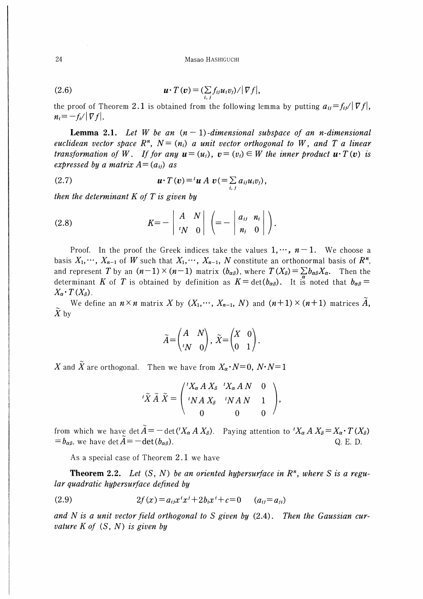(2.6) 
$$
\mathbf{u} \cdot T(\mathbf{v}) = \left( \sum_{i,j} f_{ij} u_i v_j \right) / |\nabla f|,
$$

the proof of Theorem 2.1 is obtained from the following lemma by putting  $a_{ii} = f_{ii}/|\nabla f|$ ,  $n_i = -f_i/|\nabla f|$ .

**Lemma 2.1.** Let W be an  $(n-1)$ -dimensional subspace of an n-dimensional euclidean vector space  $R^n$ ,  $N = (n_i)$  a unit vector orthogonal to W, and T a linear transformation of W. If for any  $u = (u_i)$ ,  $v = (v_i) \in W$  the inner product  $u \cdot T(v)$  is expressed by a matrix  $A = (a_{ij})$  as

(2.7) 
$$
\boldsymbol{u} \cdot T(\boldsymbol{v}) = {}^{t} \boldsymbol{u} A \boldsymbol{v} (= \sum_{i,j} a_{ij} u_i v_j),
$$

then the determinant  $K$  of  $T$  is given by

(2.8) 
$$
K = - \left| \begin{array}{cc} A & N \\ {^tN} & 0 \end{array} \right| \left( = - \left| \begin{array}{cc} a_{ij} & n_i \\ n_j & 0 \end{array} \right| \right).
$$

Proof. In the proof the Greek indices take the values  $1, \dots, n-1$ . We choose a basis  $X_1, \dots, X_{n-1}$  of W such that  $X_1, \dots, X_{n-1}$ , N constitute an orthonormal basis of  $\mathbb{R}^n$ , and represent T by an  $(n-1)\times(n-1)$  matrix  $(b_{\alpha\beta})$ , where  $T(X_{\beta})=\sum b_{\alpha\beta}X_{\alpha}$ . Then the determinant K of T is obtained by definition as  $K = det(b_0)$ . It is noted that  $b_0 =$  $X_{\alpha}$   $\cdot T(X_{\beta})$ .

We define an  $n \times n$  matrix X by  $(X_1, \dots, X_{n-1}, N)$  and  $(n+1) \times (n+1)$  matrices  $\tilde{A}$ ,  $X<sub>by</sub>$ 

$$
\widetilde{A} = \begin{pmatrix} A & N \\ {}^{t}N & 0 \end{pmatrix}, \ \widetilde{X} = \begin{pmatrix} X & 0 \\ 0 & 1 \end{pmatrix}.
$$

X and X are orthogonal. Then we have from  $X_{\alpha} \cdot N=0$ ,  $N \cdot N=1$ 

$$
{}^{t}\tilde{X}\tilde{A}\tilde{X} = \begin{pmatrix} {}^{t}X_{\alpha} A X_{\beta} & {}^{t}X_{\alpha} A N & 0 \\ {}^{t}N A X_{\beta} & {}^{t}N A N & 1 \\ 0 & 0 & 0 \end{pmatrix},
$$

from which we have det  $\widetilde{A} = -\det({}^t X_\alpha A X_\beta)$ . Paying attention to  ${}^t X_\alpha A X_\beta = X_\alpha \cdot T(X_\beta)$  $= b_{\alpha\beta}$ , we have det  $\widetilde{A} = -\det(b_{\alpha\beta})$ . Q. E. D.

As a special case of Theorem 2.1 we have

**Theorem 2.2.** Let  $(S, N)$  be an oriented hypersurface in  $\mathbb{R}^n$ , where S is a regular quadratic hypersurface defined by

(2.9) 
$$
2f(x) = a_{ij}x^{i}x^{j} + 2b_{i}x^{i} + c = 0 \qquad (a_{ij} = a_{ji})
$$

and N is a unit vector field orthogonal to S given by  $(2.4)$ . Then the Gaussian curvature  $K$  of  $(S, N)$  is given by

24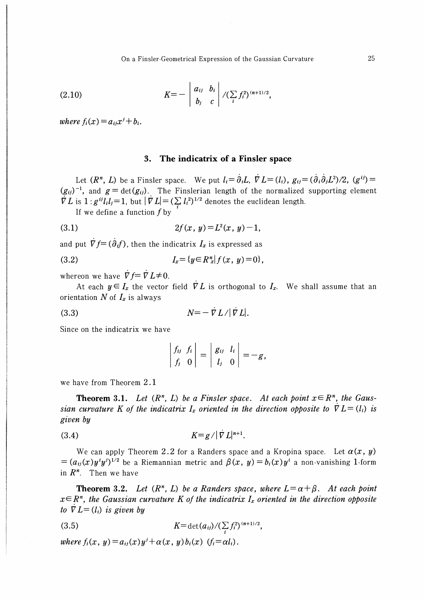On a Finsler-Geometrical Expression of the Gaussian Curvature

(2.10) 
$$
K = - \left| \begin{array}{cc} a_{ij} & b_i \\ b_j & c \end{array} \right| / (\sum_i f_i^2)^{(n+1)/2},
$$

where  $f_i(x) = a_{ij}x^j + b_i$ .

### 3. The indicatrix of a Finsler space

Let  $(R^n, L)$  be a Finsler space. We put  $l_i = \partial_i L$ ,  $\dot{\nabla} L = (l_i)$ ,  $g_{ij} = (\partial_i \partial_j L^2)/2$ ,  $(g^{ij}) =$  $(g_{ii})^{-1}$ , and  $g = \det(g_{ii})$ . The Finslerian length of the normalized supporting element  $\overrightarrow{V}L$  is  $1: g^{ij}l_i l_j=1$ , but  $|\overrightarrow{V}L|=(\sum_i l_i^2)^{1/2}$  denotes the euclidean length.

If we define a function  $f$  by

$$
(3.1) \t2f(x, y) = L^2(x, y) - 1,
$$

and put  $\dot{\nabla} f = (\dot{\partial}_i f)$ , then the indicatrix  $I_x$  is expressed as

(3.2) 
$$
I_x = \{y \in R_x^n | f(x, y) = 0\},\,
$$

whereon we have  $\overline{V}f=\overline{V}L\neq 0$ .

At each  $y \in I_x$  the vector field  $\overline{V}L$  is orthogonal to  $I_x$ . We shall assume that an orientation  $N$  of  $I_x$  is always

$$
(3.3) \t\t N=-\dot{\nabla}L/|\dot{\nabla}L|.
$$

Since on the indicatrix we have

$$
\left|\begin{array}{cc}f_{ij}&f_i\\f_j&0\end{array}\right|=\left|\begin{array}{cc}g_{ij}&l_i\\l_j&0\end{array}\right|=-g,
$$

we have from Theorem 2.1

**Theorem 3.1.** Let  $(R^n, L)$  be a Finsler space. At each point  $x \in R^n$ , the Gaussian curvature K of the indicatrix  $I_x$  oriented in the direction opposite to  $\nabla L = (l_i)$  is given by

$$
(3.4) \t\t\t K=g/\vert \nabla L\vert^{n+1}.
$$

We can apply Theorem 2.2 for a Randers space and a Kropina space. Let  $\alpha(x, y)$  $=(a_{ij}(x)y^iy^j)^{1/2}$  be a Riemannian metric and  $\beta(x, y) = b_i(x)y^i$  a non-vanishing 1-form in  $R^n$ . Then we have

**Theorem 3.2.** Let  $(R^n, L)$  be a Randers space, where  $L = \alpha + \beta$ . At each point  $x \in \mathbb{R}^n$ , the Gaussian curvature K of the indicatrix  $I_x$  oriented in the direction opposite to  $\nabla L = (l_i)$  is given by

(3.5) 
$$
K = \det(a_{ij}) / (\sum_i f_i^2)^{(n+1)/2},
$$

where  $f_i(x, y) = a_{ij}(x)y^j + \alpha(x, y)b_i(x)$   $(f_i = \alpha l_i)$ .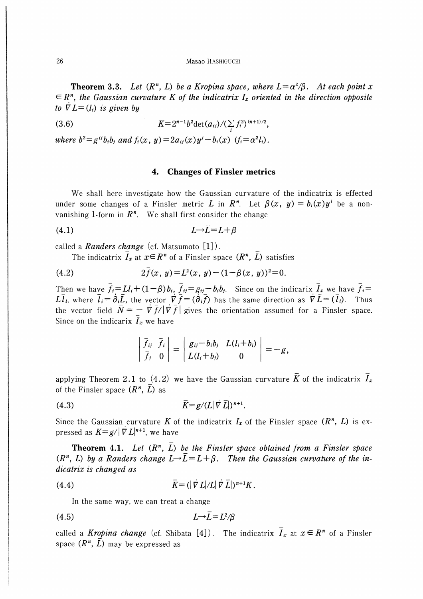**Theorem 3.3.** Let  $(R^n, L)$  be a Kropina space, where  $L = \alpha^2/\beta$ . At each point x  $\epsilon \in \mathbb{R}^n$ , the Gaussian curvature K of the indicatrix  $I_x$  oriented in the direction opposite to  $\nabla L = (l_i)$  is given by

(3.6) 
$$
K=2^{n-1}b^2\det(a_{ij})/(\sum_i f_i^2)^{(n+1)/2},
$$

where  $b^2 = g^{ij}b_ib_j$  and  $f_i(x, y) = 2a_{ij}(x)y^j - b_i(x)$   $(f_i = \alpha^2 l_i)$ .

## 4, Changes of Finsler metrics

We shall here investigate how the Gaussian curvature of the indicatrix is effected under some changes of a Finsler metric L in  $R^n$ . Let  $\beta(x, y) = b_i(x)y^i$  be a nonvanishing 1-form in  $R^n$ . We shall first consider the change

$$
(4.1) \tL \rightarrow L = L + \beta
$$

called a *Randers change* (cf. Matsumoto  $\lceil 1 \rceil$ ).

The indicatrix  $\bar{I}_x$  at  $x \in \mathbb{R}^n$  of a Finsler space  $(\mathbb{R}^n, \bar{L})$  satisfies

(4.2) 
$$
2\bar{f}(x, y) = L^2(x, y) - (1 - \beta(x, y))^2 = 0.
$$

Then we have  $f_i=Ll_i+(1-\beta)b_i$ ,  $f_{ij}=g_{ij}-b_ib_j$ . Since on the indicarix  $I_x$  we have  $f_i=$ Ll<sub>i</sub>, where  $l_i = \partial_i L$ , the vector  $\nabla f = (\partial_i f)$  has the same direction as  $\nabla L = (l_i)$ . Thus the vector field  $\overline{N} = - \overline{V} \overline{f}/|\overline{V} \overline{f}|$  gives the orientation assumed for a Finsler space. Since on the indicarix  $I_x$  we have

$$
\begin{vmatrix} \bar{f}_{ij} & \bar{f}_i \\ \bar{f}_j & 0 \end{vmatrix} = \begin{vmatrix} g_{ij} - b_i b_j & L(l_i + b_i) \\ L(l_j + b_j) & 0 \end{vmatrix} = -g,
$$

applying Theorem 2.1 to (4.2) we have the Gaussian curvature  $\bar{K}$  of the indicatrix  $\bar{I}_x$ of the Finsler space  $(R^n, L)$  as

$$
\overline{K} = g/L |\nabla \overline{L}|)^{n+1}.
$$

Since the Gaussian curvature K of the indicatrix  $I_x$  of the Finsler space  $(R^n, L)$  is expressed as  $K=g/|\nabla L|^{n+1}$ , we have

**Theorem 4.1.** Let  $(R^n, L)$  be the Finsler space obtained from a Finsler space  $(R<sup>n</sup>, L)$  by a Randers change  $L\rightarrow \overline{L}=L+\beta$ . Then the Gaussian curvature of the indicatrix is changed as

$$
(4.4) \qquad \qquad \overline{K} = (|\nabla L| / L | \nabla \overline{L}|)^{n+1} K.
$$

In the same way, we can treat a change

$$
(4.5) \tL \rightarrow L = L^2/\beta
$$

called a Kropina change (cf. Shibata [4]). The indicatrix  $\overline{I}_x$  at  $x \in \mathbb{R}^n$  of a Finsler space  $(R^n, L)$  may be expressed as